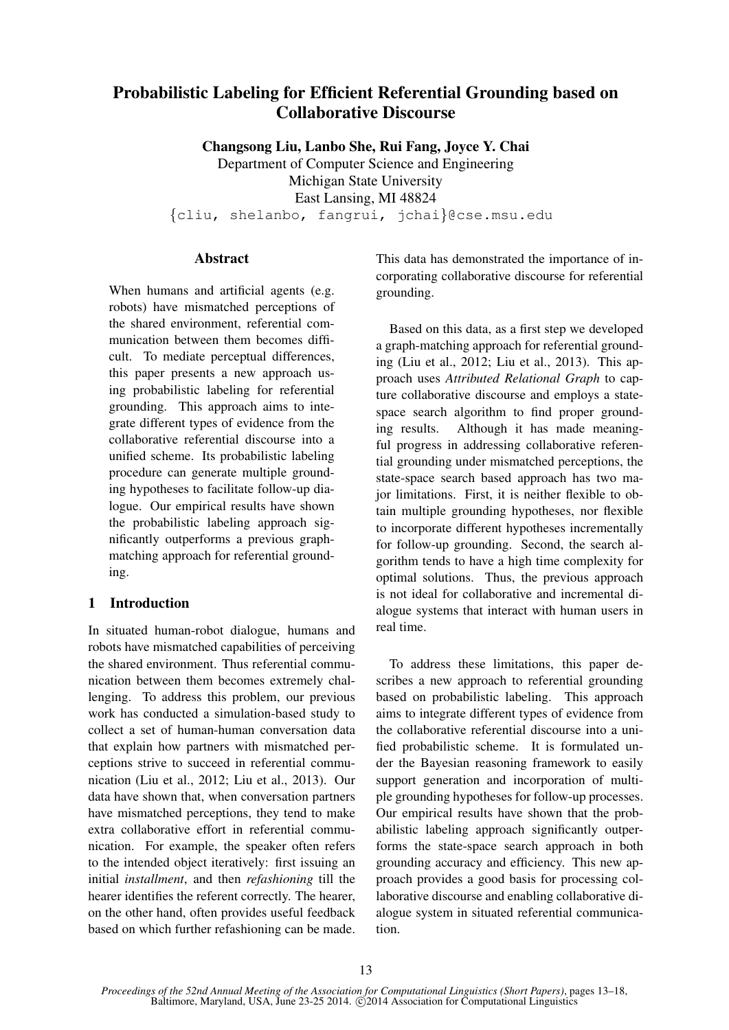# Probabilistic Labeling for Efficient Referential Grounding based on Collaborative Discourse

Changsong Liu, Lanbo She, Rui Fang, Joyce Y. Chai

Department of Computer Science and Engineering Michigan State University East Lansing, MI 48824 {cliu, shelanbo, fangrui, jchai}@cse.msu.edu

## **Abstract**

When humans and artificial agents (e.g. robots) have mismatched perceptions of the shared environment, referential communication between them becomes difficult. To mediate perceptual differences, this paper presents a new approach using probabilistic labeling for referential grounding. This approach aims to integrate different types of evidence from the collaborative referential discourse into a unified scheme. Its probabilistic labeling procedure can generate multiple grounding hypotheses to facilitate follow-up dialogue. Our empirical results have shown the probabilistic labeling approach significantly outperforms a previous graphmatching approach for referential grounding.

## 1 Introduction

In situated human-robot dialogue, humans and robots have mismatched capabilities of perceiving the shared environment. Thus referential communication between them becomes extremely challenging. To address this problem, our previous work has conducted a simulation-based study to collect a set of human-human conversation data that explain how partners with mismatched perceptions strive to succeed in referential communication (Liu et al., 2012; Liu et al., 2013). Our data have shown that, when conversation partners have mismatched perceptions, they tend to make extra collaborative effort in referential communication. For example, the speaker often refers to the intended object iteratively: first issuing an initial *installment*, and then *refashioning* till the hearer identifies the referent correctly. The hearer, on the other hand, often provides useful feedback based on which further refashioning can be made. This data has demonstrated the importance of incorporating collaborative discourse for referential grounding.

Based on this data, as a first step we developed a graph-matching approach for referential grounding (Liu et al., 2012; Liu et al., 2013). This approach uses *Attributed Relational Graph* to capture collaborative discourse and employs a statespace search algorithm to find proper grounding results. Although it has made meaningful progress in addressing collaborative referential grounding under mismatched perceptions, the state-space search based approach has two major limitations. First, it is neither flexible to obtain multiple grounding hypotheses, nor flexible to incorporate different hypotheses incrementally for follow-up grounding. Second, the search algorithm tends to have a high time complexity for optimal solutions. Thus, the previous approach is not ideal for collaborative and incremental dialogue systems that interact with human users in real time.

To address these limitations, this paper describes a new approach to referential grounding based on probabilistic labeling. This approach aims to integrate different types of evidence from the collaborative referential discourse into a unified probabilistic scheme. It is formulated under the Bayesian reasoning framework to easily support generation and incorporation of multiple grounding hypotheses for follow-up processes. Our empirical results have shown that the probabilistic labeling approach significantly outperforms the state-space search approach in both grounding accuracy and efficiency. This new approach provides a good basis for processing collaborative discourse and enabling collaborative dialogue system in situated referential communication.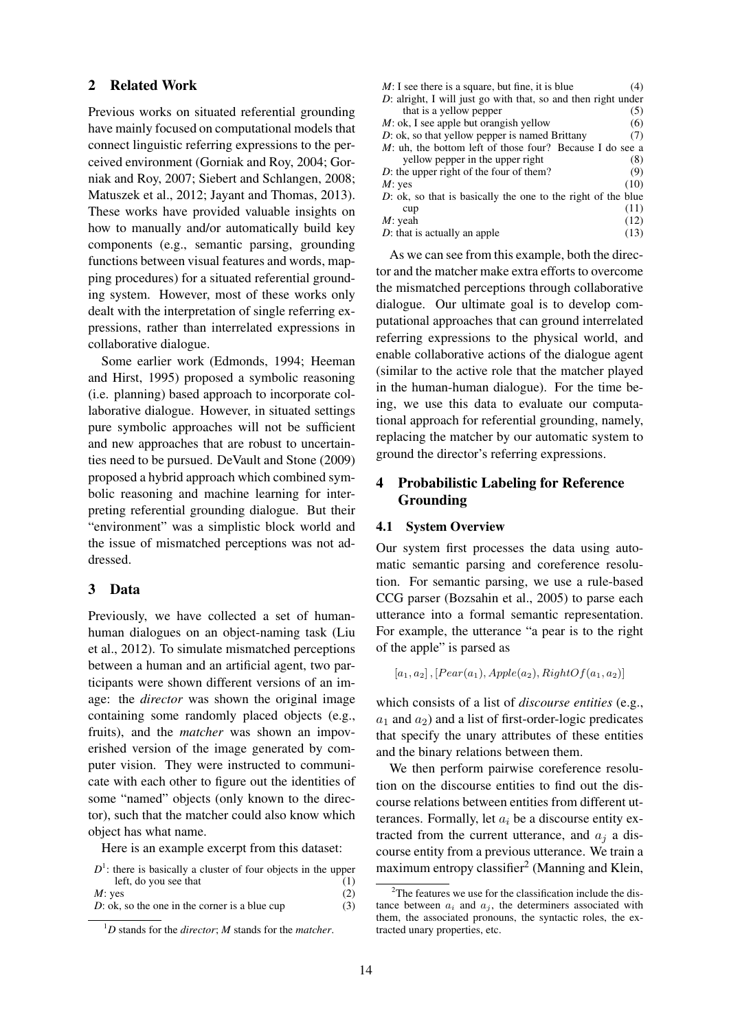#### 2 Related Work

Previous works on situated referential grounding have mainly focused on computational models that connect linguistic referring expressions to the perceived environment (Gorniak and Roy, 2004; Gorniak and Roy, 2007; Siebert and Schlangen, 2008; Matuszek et al., 2012; Jayant and Thomas, 2013). These works have provided valuable insights on how to manually and/or automatically build key components (e.g., semantic parsing, grounding functions between visual features and words, mapping procedures) for a situated referential grounding system. However, most of these works only dealt with the interpretation of single referring expressions, rather than interrelated expressions in collaborative dialogue.

Some earlier work (Edmonds, 1994; Heeman and Hirst, 1995) proposed a symbolic reasoning (i.e. planning) based approach to incorporate collaborative dialogue. However, in situated settings pure symbolic approaches will not be sufficient and new approaches that are robust to uncertainties need to be pursued. DeVault and Stone (2009) proposed a hybrid approach which combined symbolic reasoning and machine learning for interpreting referential grounding dialogue. But their "environment" was a simplistic block world and the issue of mismatched perceptions was not addressed.

#### 3 Data

Previously, we have collected a set of humanhuman dialogues on an object-naming task (Liu et al., 2012). To simulate mismatched perceptions between a human and an artificial agent, two participants were shown different versions of an image: the *director* was shown the original image containing some randomly placed objects (e.g., fruits), and the *matcher* was shown an impoverished version of the image generated by computer vision. They were instructed to communicate with each other to figure out the identities of some "named" objects (only known to the director), such that the matcher could also know which object has what name.

Here is an example excerpt from this dataset:

 $D^1$ : there is basically a cluster of four objects in the upper left, do you see that (1)  $M: yes$  (2)

```
D: ok, so the one in the corner is a blue cup (3)
```

| $M: I$ see there is a square, but fine, it is blue            | (4)  |  |  |
|---------------------------------------------------------------|------|--|--|
| D: alright, I will just go with that, so and then right under |      |  |  |
| that is a yellow pepper                                       | (5)  |  |  |
| $M$ : ok, I see apple but orangish yellow                     | (6)  |  |  |
| $D$ : ok, so that yellow pepper is named Brittany             | (7)  |  |  |
| M: uh, the bottom left of those four? Because I do see a      |      |  |  |
| yellow pepper in the upper right                              | (8)  |  |  |
| D: the upper right of the four of them?                       | (9)  |  |  |
| $M$ : yes                                                     | (10) |  |  |
| D: ok, so that is basically the one to the right of the blue  |      |  |  |
| cup                                                           | (11) |  |  |
| $M:$ yeah                                                     | (12) |  |  |
| $D$ : that is actually an apple                               | (13) |  |  |

As we can see from this example, both the director and the matcher make extra efforts to overcome the mismatched perceptions through collaborative dialogue. Our ultimate goal is to develop computational approaches that can ground interrelated referring expressions to the physical world, and enable collaborative actions of the dialogue agent (similar to the active role that the matcher played in the human-human dialogue). For the time being, we use this data to evaluate our computational approach for referential grounding, namely, replacing the matcher by our automatic system to ground the director's referring expressions.

## 4 Probabilistic Labeling for Reference Grounding

#### 4.1 System Overview

Our system first processes the data using automatic semantic parsing and coreference resolution. For semantic parsing, we use a rule-based CCG parser (Bozsahin et al., 2005) to parse each utterance into a formal semantic representation. For example, the utterance "a pear is to the right of the apple" is parsed as

 $[a_1, a_2]$ ,  $[Pear(a_1), Apple(a_2), RightOf(a_1, a_2)]$ 

which consists of a list of *discourse entities* (e.g.,  $a_1$  and  $a_2$ ) and a list of first-order-logic predicates that specify the unary attributes of these entities and the binary relations between them.

We then perform pairwise coreference resolution on the discourse entities to find out the discourse relations between entities from different utterances. Formally, let  $a_i$  be a discourse entity extracted from the current utterance, and  $a_i$  a discourse entity from a previous utterance. We train a maximum entropy classifier<sup>2</sup> (Manning and Klein,

<sup>1</sup>*D* stands for the *director*; *M* stands for the *matcher*.

 $2^2$ The features we use for the classification include the distance between  $a_i$  and  $a_j$ , the determiners associated with them, the associated pronouns, the syntactic roles, the extracted unary properties, etc.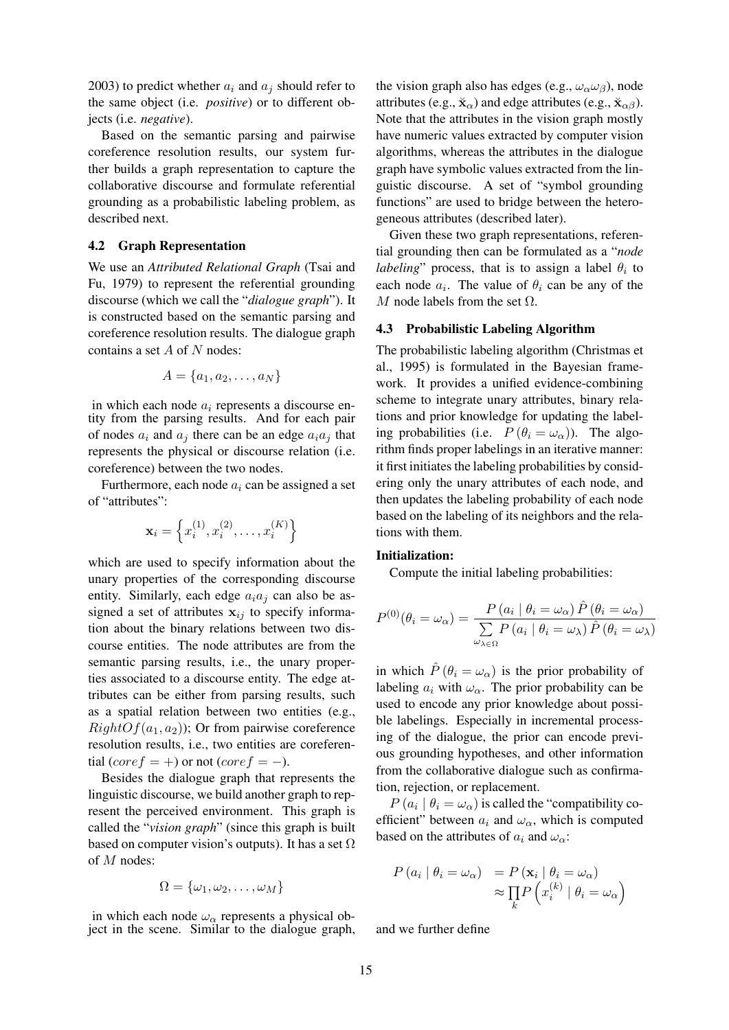2003) to predict whether  $a_i$  and  $a_j$  should refer to the same object (i.e. *positive*) or to different objects (i.e. *negative*).

Based on the semantic parsing and pairwise coreference resolution results, our system further builds a graph representation to capture the collaborative discourse and formulate referential grounding as a probabilistic labeling problem, as described next.

## 4.2 Graph Representation

We use an *Attributed Relational Graph* (Tsai and Fu, 1979) to represent the referential grounding discourse (which we call the "*dialogue graph*"). It is constructed based on the semantic parsing and coreference resolution results. The dialogue graph contains a set  $A$  of  $N$  nodes:

$$
A = \{a_1, a_2, \dots, a_N\}
$$

in which each node  $a_i$  represents a discourse entity from the parsing results. And for each pair of nodes  $a_i$  and  $a_j$  there can be an edge  $a_i a_j$  that represents the physical or discourse relation (i.e. coreference) between the two nodes.

Furthermore, each node  $a_i$  can be assigned a set of "attributes":

$$
\mathbf{x}_i = \left\{ x_i^{(1)}, x_i^{(2)}, \dots, x_i^{(K)} \right\}
$$

which are used to specify information about the unary properties of the corresponding discourse entity. Similarly, each edge  $a_i a_j$  can also be assigned a set of attributes  $x_{ij}$  to specify information about the binary relations between two discourse entities. The node attributes are from the semantic parsing results, i.e., the unary properties associated to a discourse entity. The edge attributes can be either from parsing results, such as a spatial relation between two entities (e.g.,  $RightOf(a_1, a_2)$ ; Or from pairwise coreference resolution results, i.e., two entities are coreferential (core  $f = +$ ) or not (core  $f = -$ ).

Besides the dialogue graph that represents the linguistic discourse, we build another graph to represent the perceived environment. This graph is called the "*vision graph*" (since this graph is built based on computer vision's outputs). It has a set  $\Omega$ of M nodes:

$$
\Omega = \{\omega_1, \omega_2, \ldots, \omega_M\}
$$

in which each node  $\omega_{\alpha}$  represents a physical object in the scene. Similar to the dialogue graph,

the vision graph also has edges (e.g.,  $\omega_{\alpha}\omega_{\beta}$ ), node attributes (e.g.,  $\breve{\mathbf{x}}_{\alpha}$ ) and edge attributes (e.g.,  $\breve{\mathbf{x}}_{\alpha\beta}$ ). Note that the attributes in the vision graph mostly have numeric values extracted by computer vision algorithms, whereas the attributes in the dialogue graph have symbolic values extracted from the linguistic discourse. A set of "symbol grounding functions" are used to bridge between the heterogeneous attributes (described later).

Given these two graph representations, referential grounding then can be formulated as a "*node labeling*" process, that is to assign a label  $\theta_i$  to each node  $a_i$ . The value of  $\theta_i$  can be any of the M node labels from the set  $\Omega$ .

## 4.3 Probabilistic Labeling Algorithm

The probabilistic labeling algorithm (Christmas et al., 1995) is formulated in the Bayesian framework. It provides a unified evidence-combining scheme to integrate unary attributes, binary relations and prior knowledge for updating the labeling probabilities (i.e.  $P(\theta_i = \omega_\alpha)$ ). The algorithm finds proper labelings in an iterative manner: it first initiates the labeling probabilities by considering only the unary attributes of each node, and then updates the labeling probability of each node based on the labeling of its neighbors and the relations with them.

## Initialization:

Compute the initial labeling probabilities:

$$
P^{(0)}(\theta_i = \omega_{\alpha}) = \frac{P(a_i | \theta_i = \omega_{\alpha}) \hat{P}(\theta_i = \omega_{\alpha})}{\sum_{\omega_{\lambda \in \Omega}} P(a_i | \theta_i = \omega_{\lambda}) \hat{P}(\theta_i = \omega_{\lambda})}
$$

in which  $\hat{P}(\theta_i = \omega_\alpha)$  is the prior probability of labeling  $a_i$  with  $\omega_\alpha$ . The prior probability can be used to encode any prior knowledge about possible labelings. Especially in incremental processing of the dialogue, the prior can encode previous grounding hypotheses, and other information from the collaborative dialogue such as confirmation, rejection, or replacement.

 $P(a_i | \theta_i = \omega_\alpha)$  is called the "compatibility coefficient" between  $a_i$  and  $\omega_\alpha$ , which is computed based on the attributes of  $a_i$  and  $\omega_{\alpha}$ :

$$
P(a_i | \theta_i = \omega_\alpha) = P(\mathbf{x}_i | \theta_i = \omega_\alpha)
$$

$$
\approx \prod_k P\left(x_i^{(k)} | \theta_i = \omega_\alpha\right)
$$

and we further define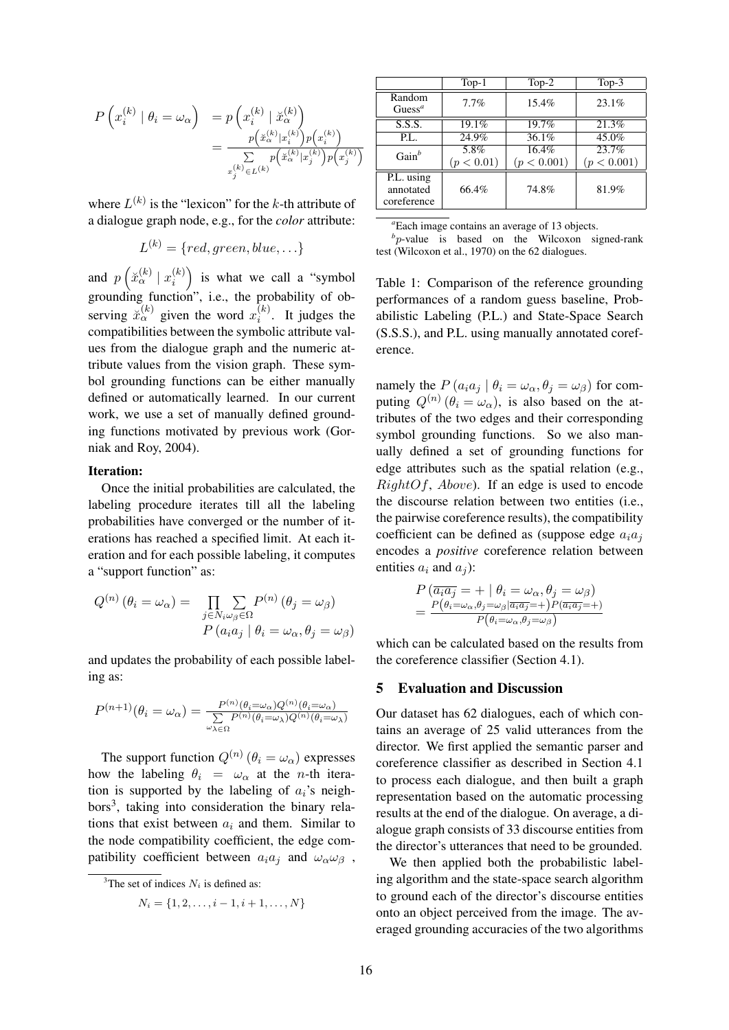$$
P\left(x_i^{(k)} \mid \theta_i = \omega_\alpha\right) = p\left(x_i^{(k)} \mid \check{x}_\alpha^{(k)}\right)
$$
  
= 
$$
\frac{p\left(\check{x}_\alpha^{(k)} | x_i^{(k)}\right) p\left(x_i^{(k)}\right)}{\sum\limits_{x_j^{(k)} \in L^{(k)}} p\left(\check{x}_\alpha^{(k)} | x_j^{(k)}\right) p\left(x_j^{(k)}\right)}
$$

where  $L^{(k)}$  is the "lexicon" for the k-th attribute of a dialogue graph node, e.g., for the *color* attribute:

$$
L^{(k)} = \{ red, green, blue, \ldots \}
$$

and  $p\left(\breve{x}_{\alpha}^{(k)} \mid x_i^{(k)}\right)$ i ) is what we call a "symbol grounding function", i.e., the probability of observing  $\breve{x}_{\alpha}^{(k)}$  given the word  $x_i^{(k)}$  $i^{(k)}$ . It judges the compatibilities between the symbolic attribute values from the dialogue graph and the numeric attribute values from the vision graph. These symbol grounding functions can be either manually defined or automatically learned. In our current work, we use a set of manually defined grounding functions motivated by previous work (Gorniak and Roy, 2004).

#### Iteration:

Once the initial probabilities are calculated, the labeling procedure iterates till all the labeling probabilities have converged or the number of iterations has reached a specified limit. At each iteration and for each possible labeling, it computes a "support function" as:

$$
Q^{(n)}(\theta_i = \omega_\alpha) = \prod_{\substack{j \in N_i \omega_\beta \in \Omega}} \sum_{\substack{\alpha \in N_j \omega_\beta \in \Omega}} P^{(n)}(\theta_j = \omega_\beta)
$$

$$
P(a_i a_j | \theta_i = \omega_\alpha, \theta_j = \omega_\beta)
$$

and updates the probability of each possible labeling as:

$$
P^{(n+1)}(\theta_i = \omega_\alpha) = \frac{P^{(n)}(\theta_i = \omega_\alpha)Q^{(n)}(\theta_i = \omega_\alpha)}{\sum\limits_{\omega_\lambda \in \Omega} P^{(n)}(\theta_i = \omega_\lambda)Q^{(n)}(\theta_i = \omega_\lambda)}
$$

The support function  $Q^{(n)}(\theta_i = \omega_\alpha)$  expresses how the labeling  $\theta_i = \omega_\alpha$  at the *n*-th iteration is supported by the labeling of  $a_i$ 's neighbors<sup>3</sup>, taking into consideration the binary relations that exist between  $a_i$  and them. Similar to the node compatibility coefficient, the edge compatibility coefficient between  $a_i a_j$  and  $\omega_\alpha \omega_\beta$ ,

$$
N_i = \{1, 2, \dots, i-1, i+1, \dots, N\}
$$

|                                        | $Top-1$            | $Top-2$              | Top- $3$             |
|----------------------------------------|--------------------|----------------------|----------------------|
| Random<br>$\text{Guess}^a$             | 7.7%               | 15.4%                | 23.1%                |
| S.S.S.                                 | 19.1%              | 19.7%                | 21.3%                |
| P.L.                                   | 24.9%              | 36.1%                | $45.\overline{0\%}$  |
| $Gain^b$                               | 5.8%<br>(p < 0.01) | 16.4%<br>(p < 0.001) | 23.7%<br>(p < 0.001) |
| P.L. using<br>annotated<br>coreference | 66.4%              | 74.8%                | 81.9%                |

*<sup>a</sup>*Each image contains an average of 13 objects.

*b* p-value is based on the Wilcoxon signed-rank test (Wilcoxon et al., 1970) on the 62 dialogues.

Table 1: Comparison of the reference grounding performances of a random guess baseline, Probabilistic Labeling (P.L.) and State-Space Search (S.S.S.), and P.L. using manually annotated coreference.

namely the  $P(a_i a_j | \theta_i = \omega_\alpha, \theta_i = \omega_\beta)$  for computing  $Q^{(n)}(\theta_i = \omega_\alpha)$ , is also based on the attributes of the two edges and their corresponding symbol grounding functions. So we also manually defined a set of grounding functions for edge attributes such as the spatial relation (e.g.,  $RightOf, Above$ ). If an edge is used to encode the discourse relation between two entities (i.e., the pairwise coreference results), the compatibility coefficient can be defined as (suppose edge  $a_i a_j$ ) encodes a *positive* coreference relation between entities  $a_i$  and  $a_j$ ):

$$
P\left(\overline{a_i a_j} = + | \theta_i = \omega_\alpha, \theta_j = \omega_\beta\right)
$$
  
= 
$$
\frac{P(\theta_i = \omega_\alpha, \theta_j = \omega_\beta | \overline{a_i a_j} = +) P(\overline{a_i a_j} = +)}{P(\theta_i = \omega_\alpha, \theta_j = \omega_\beta)}
$$

which can be calculated based on the results from the coreference classifier (Section 4.1).

#### 5 Evaluation and Discussion

Our dataset has 62 dialogues, each of which contains an average of 25 valid utterances from the director. We first applied the semantic parser and coreference classifier as described in Section 4.1 to process each dialogue, and then built a graph representation based on the automatic processing results at the end of the dialogue. On average, a dialogue graph consists of 33 discourse entities from the director's utterances that need to be grounded.

We then applied both the probabilistic labeling algorithm and the state-space search algorithm to ground each of the director's discourse entities onto an object perceived from the image. The averaged grounding accuracies of the two algorithms

<sup>&</sup>lt;sup>3</sup>The set of indices  $N_i$  is defined as: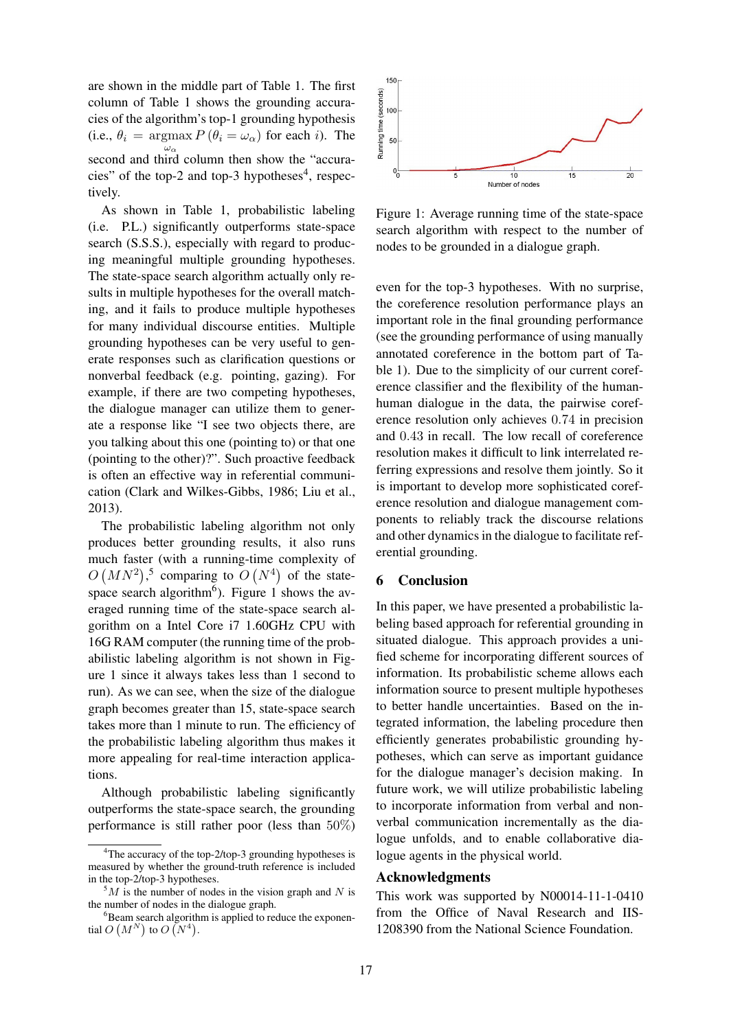are shown in the middle part of Table 1. The first column of Table 1 shows the grounding accuracies of the algorithm's top-1 grounding hypothesis (i.e.,  $\theta_i = \argmax P(\theta_i = \omega_\alpha)$  for each *i*). The  $\omega_{\alpha}$ second and third column then show the "accuracies" of the top-2 and top-3 hypotheses $4$ , respectively.

As shown in Table 1, probabilistic labeling (i.e. P.L.) significantly outperforms state-space search (S.S.S.), especially with regard to producing meaningful multiple grounding hypotheses. The state-space search algorithm actually only results in multiple hypotheses for the overall matching, and it fails to produce multiple hypotheses for many individual discourse entities. Multiple grounding hypotheses can be very useful to generate responses such as clarification questions or nonverbal feedback (e.g. pointing, gazing). For example, if there are two competing hypotheses, the dialogue manager can utilize them to generate a response like "I see two objects there, are you talking about this one (pointing to) or that one (pointing to the other)?". Such proactive feedback is often an effective way in referential communication (Clark and Wilkes-Gibbs, 1986; Liu et al., 2013).

The probabilistic labeling algorithm not only produces better grounding results, it also runs much faster (with a running-time complexity of  $O(NN^2)$ ,<sup>5</sup> comparing to  $O(N^4)$  of the statespace search algorithm<sup>6</sup>). Figure 1 shows the averaged running time of the state-space search algorithm on a Intel Core i7 1.60GHz CPU with 16G RAM computer (the running time of the probabilistic labeling algorithm is not shown in Figure 1 since it always takes less than 1 second to run). As we can see, when the size of the dialogue graph becomes greater than 15, state-space search takes more than 1 minute to run. The efficiency of the probabilistic labeling algorithm thus makes it more appealing for real-time interaction applications.

Although probabilistic labeling significantly outperforms the state-space search, the grounding performance is still rather poor (less than 50%)



Figure 1: Average running time of the state-space search algorithm with respect to the number of nodes to be grounded in a dialogue graph.

even for the top-3 hypotheses. With no surprise, the coreference resolution performance plays an important role in the final grounding performance (see the grounding performance of using manually annotated coreference in the bottom part of Table 1). Due to the simplicity of our current coreference classifier and the flexibility of the humanhuman dialogue in the data, the pairwise coreference resolution only achieves 0.74 in precision and 0.43 in recall. The low recall of coreference resolution makes it difficult to link interrelated referring expressions and resolve them jointly. So it is important to develop more sophisticated coreference resolution and dialogue management components to reliably track the discourse relations and other dynamics in the dialogue to facilitate referential grounding.

#### 6 Conclusion

In this paper, we have presented a probabilistic labeling based approach for referential grounding in situated dialogue. This approach provides a unified scheme for incorporating different sources of information. Its probabilistic scheme allows each information source to present multiple hypotheses to better handle uncertainties. Based on the integrated information, the labeling procedure then efficiently generates probabilistic grounding hypotheses, which can serve as important guidance for the dialogue manager's decision making. In future work, we will utilize probabilistic labeling to incorporate information from verbal and nonverbal communication incrementally as the dialogue unfolds, and to enable collaborative dialogue agents in the physical world.

## Acknowledgments

This work was supported by N00014-11-1-0410 from the Office of Naval Research and IIS-1208390 from the National Science Foundation.

<sup>&</sup>lt;sup>4</sup>The accuracy of the top-2/top-3 grounding hypotheses is measured by whether the ground-truth reference is included in the top-2/top-3 hypotheses.

 $5M$  is the number of nodes in the vision graph and N is the number of nodes in the dialogue graph.

 ${}^{6}$ Beam search algorithm is applied to reduce the exponential  $O(N^N)$  to  $O(N^4)$ .